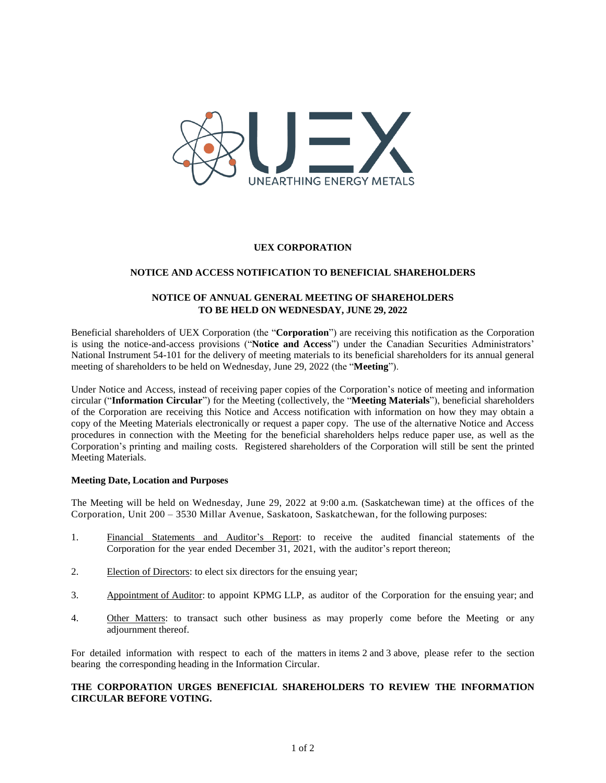

## **UEX CORPORATION**

## **NOTICE AND ACCESS NOTIFICATION TO BENEFICIAL SHAREHOLDERS**

# **NOTICE OF ANNUAL GENERAL MEETING OF SHAREHOLDERS TO BE HELD ON WEDNESDAY, JUNE 29, 2022**

Beneficial shareholders of UEX Corporation (the "**Corporation**") are receiving this notification as the Corporation is using the notice-and-access provisions ("**Notice and Access**") under the Canadian Securities Administrators' National Instrument 54-101 for the delivery of meeting materials to its beneficial shareholders for its annual general meeting of shareholders to be held on Wednesday, June 29, 2022 (the "**Meeting**").

Under Notice and Access, instead of receiving paper copies of the Corporation's notice of meeting and information circular ("**Information Circular**") for the Meeting (collectively, the "**Meeting Materials**"), beneficial shareholders of the Corporation are receiving this Notice and Access notification with information on how they may obtain a copy of the Meeting Materials electronically or request a paper copy. The use of the alternative Notice and Access procedures in connection with the Meeting for the beneficial shareholders helps reduce paper use, as well as the Corporation's printing and mailing costs. Registered shareholders of the Corporation will still be sent the printed Meeting Materials.

## **Meeting Date, Location and Purposes**

The Meeting will be held on Wednesday, June 29, 2022 at 9:00 a.m. (Saskatchewan time) at the offices of the Corporation, Unit 200 – 3530 Millar Avenue, Saskatoon, Saskatchewan, for the following purposes:

- 1. Financial Statements and Auditor's Report: to receive the audited financial statements of the Corporation for the year ended December 31, 2021, with the auditor's report thereon;
- 2. Election of Directors: to elect six directors for the ensuing year;
- 3. Appointment of Auditor: to appoint KPMG LLP, as auditor of the Corporation for the ensuing year; and
- 4. Other Matters: to transact such other business as may properly come before the Meeting or any adjournment thereof.

For detailed information with respect to each of the matters in items 2 and 3 above, please refer to the section bearing the corresponding heading in the Information Circular.

# **THE CORPORATION URGES BENEFICIAL SHAREHOLDERS TO REVIEW THE INFORMATION CIRCULAR BEFORE VOTING.**